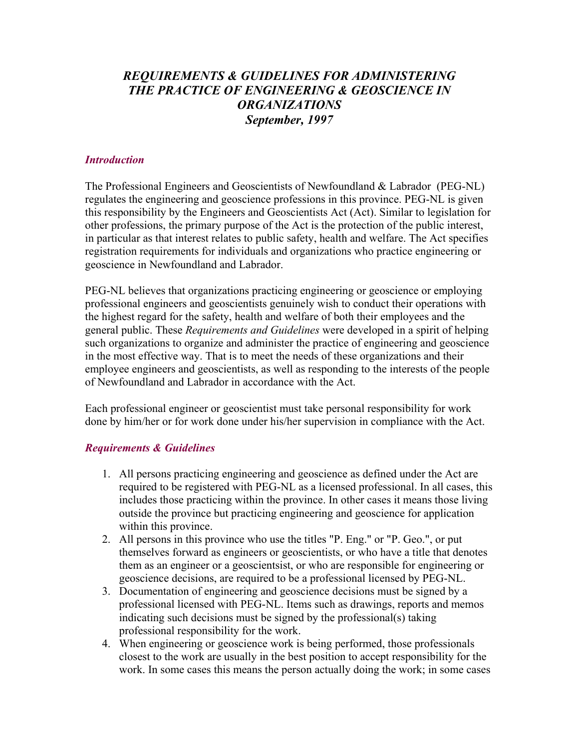## *REQUIREMENTS & GUIDELINES FOR ADMINISTERING THE PRACTICE OF ENGINEERING & GEOSCIENCE IN ORGANIZATIONS September, 1997*

## *Introduction*

The Professional Engineers and Geoscientists of Newfoundland & Labrador (PEG-NL) regulates the engineering and geoscience professions in this province. PEG-NL is given this responsibility by the Engineers and Geoscientists Act (Act). Similar to legislation for other professions, the primary purpose of the Act is the protection of the public interest, in particular as that interest relates to public safety, health and welfare. The Act specifies registration requirements for individuals and organizations who practice engineering or geoscience in Newfoundland and Labrador.

PEG-NL believes that organizations practicing engineering or geoscience or employing professional engineers and geoscientists genuinely wish to conduct their operations with the highest regard for the safety, health and welfare of both their employees and the general public. These *Requirements and Guidelines* were developed in a spirit of helping such organizations to organize and administer the practice of engineering and geoscience in the most effective way. That is to meet the needs of these organizations and their employee engineers and geoscientists, as well as responding to the interests of the people of Newfoundland and Labrador in accordance with the Act.

Each professional engineer or geoscientist must take personal responsibility for work done by him/her or for work done under his/her supervision in compliance with the Act.

## *Requirements & Guidelines*

- 1. All persons practicing engineering and geoscience as defined under the Act are required to be registered with PEG-NL as a licensed professional. In all cases, this includes those practicing within the province. In other cases it means those living outside the province but practicing engineering and geoscience for application within this province.
- 2. All persons in this province who use the titles "P. Eng." or "P. Geo.", or put themselves forward as engineers or geoscientists, or who have a title that denotes them as an engineer or a geoscientsist, or who are responsible for engineering or geoscience decisions, are required to be a professional licensed by PEG-NL.
- 3. Documentation of engineering and geoscience decisions must be signed by a professional licensed with PEG-NL. Items such as drawings, reports and memos indicating such decisions must be signed by the professional(s) taking professional responsibility for the work.
- 4. When engineering or geoscience work is being performed, those professionals closest to the work are usually in the best position to accept responsibility for the work. In some cases this means the person actually doing the work; in some cases